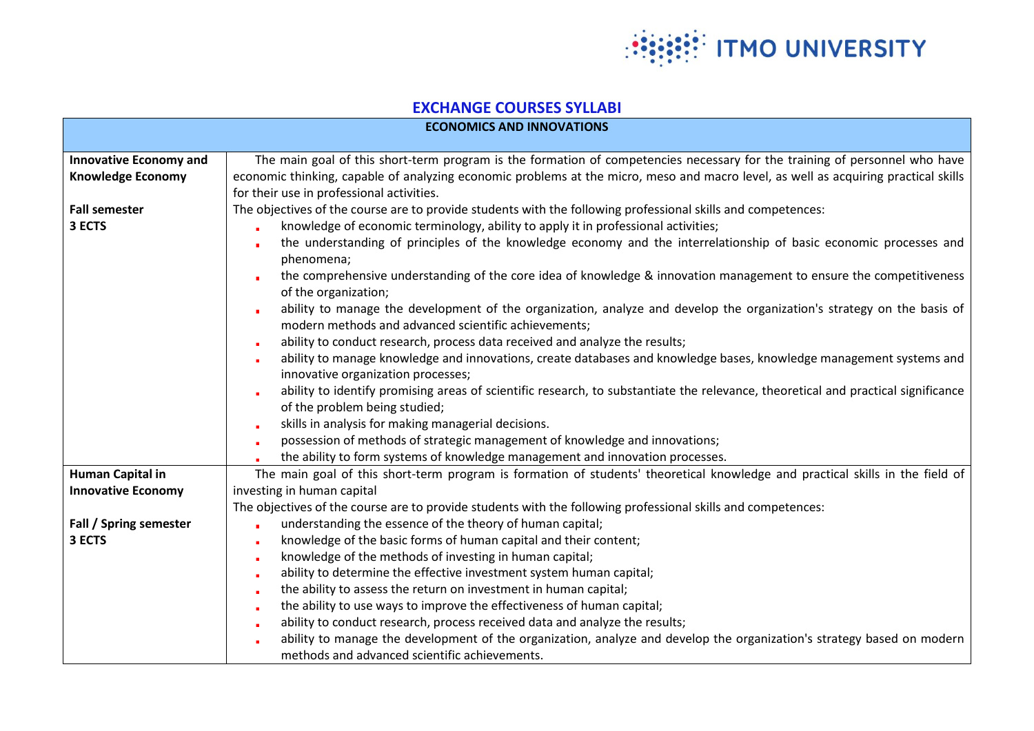

## **EXCHANGE COURSES SYLLABI**

| <b>ECONOMICS AND INNOVATIONS</b>                          |                                                                                                                                                                                                                                                                                                                                                                                                                                                                                                                                                                                                                                                                                               |  |
|-----------------------------------------------------------|-----------------------------------------------------------------------------------------------------------------------------------------------------------------------------------------------------------------------------------------------------------------------------------------------------------------------------------------------------------------------------------------------------------------------------------------------------------------------------------------------------------------------------------------------------------------------------------------------------------------------------------------------------------------------------------------------|--|
| <b>Innovative Economy and</b><br><b>Knowledge Economy</b> | The main goal of this short-term program is the formation of competencies necessary for the training of personnel who have<br>economic thinking, capable of analyzing economic problems at the micro, meso and macro level, as well as acquiring practical skills<br>for their use in professional activities.                                                                                                                                                                                                                                                                                                                                                                                |  |
| <b>Fall semester</b><br>3 ECTS                            | The objectives of the course are to provide students with the following professional skills and competences:<br>knowledge of economic terminology, ability to apply it in professional activities;<br>×.<br>the understanding of principles of the knowledge economy and the interrelationship of basic economic processes and<br>phenomena;<br>the comprehensive understanding of the core idea of knowledge & innovation management to ensure the competitiveness<br>of the organization;<br>ability to manage the development of the organization, analyze and develop the organization's strategy on the basis of                                                                         |  |
|                                                           | modern methods and advanced scientific achievements;<br>ability to conduct research, process data received and analyze the results;<br>ability to manage knowledge and innovations, create databases and knowledge bases, knowledge management systems and<br>innovative organization processes;<br>ability to identify promising areas of scientific research, to substantiate the relevance, theoretical and practical significance<br>of the problem being studied;<br>skills in analysis for making managerial decisions.<br>possession of methods of strategic management of knowledge and innovations;<br>the ability to form systems of knowledge management and innovation processes. |  |
| Human Capital in<br><b>Innovative Economy</b>             | The main goal of this short-term program is formation of students' theoretical knowledge and practical skills in the field of<br>investing in human capital<br>The objectives of the course are to provide students with the following professional skills and competences:                                                                                                                                                                                                                                                                                                                                                                                                                   |  |
| Fall / Spring semester<br>3 ECTS                          | understanding the essence of the theory of human capital;<br>knowledge of the basic forms of human capital and their content;<br>knowledge of the methods of investing in human capital;<br>ability to determine the effective investment system human capital;<br>×.<br>the ability to assess the return on investment in human capital;<br>the ability to use ways to improve the effectiveness of human capital;<br>ability to conduct research, process received data and analyze the results;<br>ability to manage the development of the organization, analyze and develop the organization's strategy based on modern<br>methods and advanced scientific achievements.                 |  |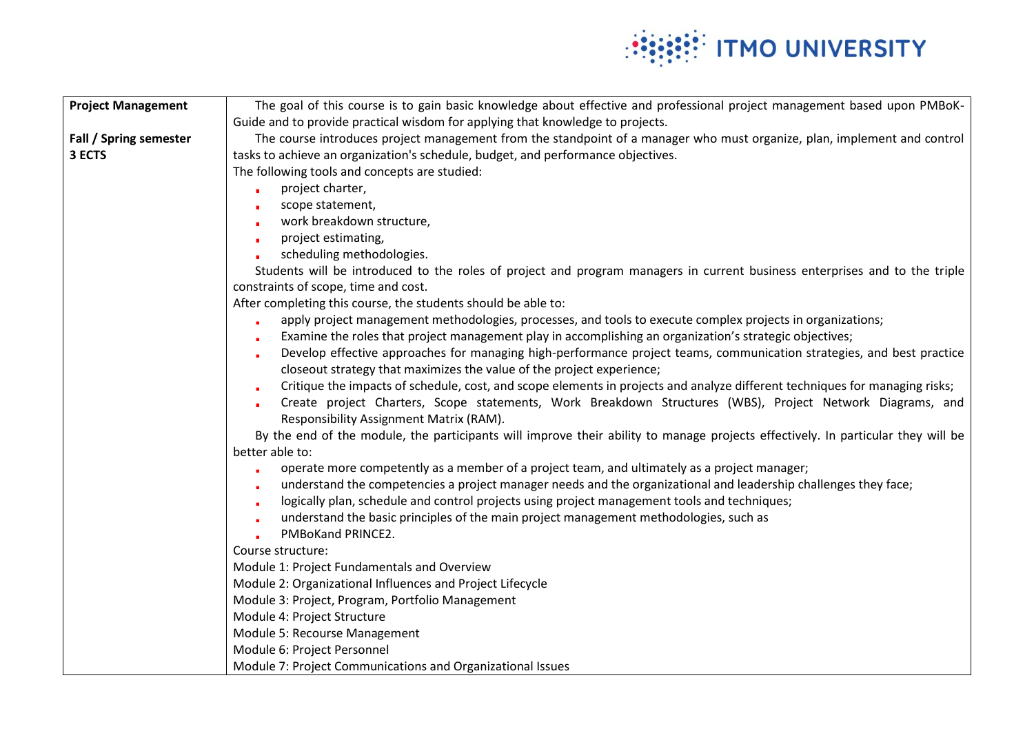

| <b>Project Management</b> | The goal of this course is to gain basic knowledge about effective and professional project management based upon PMBoK-                                                                       |
|---------------------------|------------------------------------------------------------------------------------------------------------------------------------------------------------------------------------------------|
|                           | Guide and to provide practical wisdom for applying that knowledge to projects.                                                                                                                 |
| Fall / Spring semester    | The course introduces project management from the standpoint of a manager who must organize, plan, implement and control                                                                       |
| 3 ECTS                    | tasks to achieve an organization's schedule, budget, and performance objectives.                                                                                                               |
|                           | The following tools and concepts are studied:                                                                                                                                                  |
|                           | project charter,                                                                                                                                                                               |
|                           | scope statement,                                                                                                                                                                               |
|                           | work breakdown structure,                                                                                                                                                                      |
|                           | project estimating,                                                                                                                                                                            |
|                           | scheduling methodologies.                                                                                                                                                                      |
|                           | Students will be introduced to the roles of project and program managers in current business enterprises and to the triple                                                                     |
|                           | constraints of scope, time and cost.                                                                                                                                                           |
|                           | After completing this course, the students should be able to:                                                                                                                                  |
|                           | apply project management methodologies, processes, and tools to execute complex projects in organizations;                                                                                     |
|                           | Examine the roles that project management play in accomplishing an organization's strategic objectives;                                                                                        |
|                           | Develop effective approaches for managing high-performance project teams, communication strategies, and best practice<br>closeout strategy that maximizes the value of the project experience; |
|                           | Critique the impacts of schedule, cost, and scope elements in projects and analyze different techniques for managing risks;                                                                    |
|                           | Create project Charters, Scope statements, Work Breakdown Structures (WBS), Project Network Diagrams, and<br>Responsibility Assignment Matrix (RAM).                                           |
|                           | By the end of the module, the participants will improve their ability to manage projects effectively. In particular they will be                                                               |
|                           | better able to:                                                                                                                                                                                |
|                           | operate more competently as a member of a project team, and ultimately as a project manager;                                                                                                   |
|                           | understand the competencies a project manager needs and the organizational and leadership challenges they face;                                                                                |
|                           | logically plan, schedule and control projects using project management tools and techniques;                                                                                                   |
|                           | understand the basic principles of the main project management methodologies, such as                                                                                                          |
|                           | PMBoKand PRINCE2.                                                                                                                                                                              |
|                           | Course structure:                                                                                                                                                                              |
|                           | Module 1: Project Fundamentals and Overview                                                                                                                                                    |
|                           | Module 2: Organizational Influences and Project Lifecycle                                                                                                                                      |
|                           | Module 3: Project, Program, Portfolio Management                                                                                                                                               |
|                           | Module 4: Project Structure                                                                                                                                                                    |
|                           | Module 5: Recourse Management<br>Module 6: Project Personnel                                                                                                                                   |
|                           | Module 7: Project Communications and Organizational Issues                                                                                                                                     |
|                           |                                                                                                                                                                                                |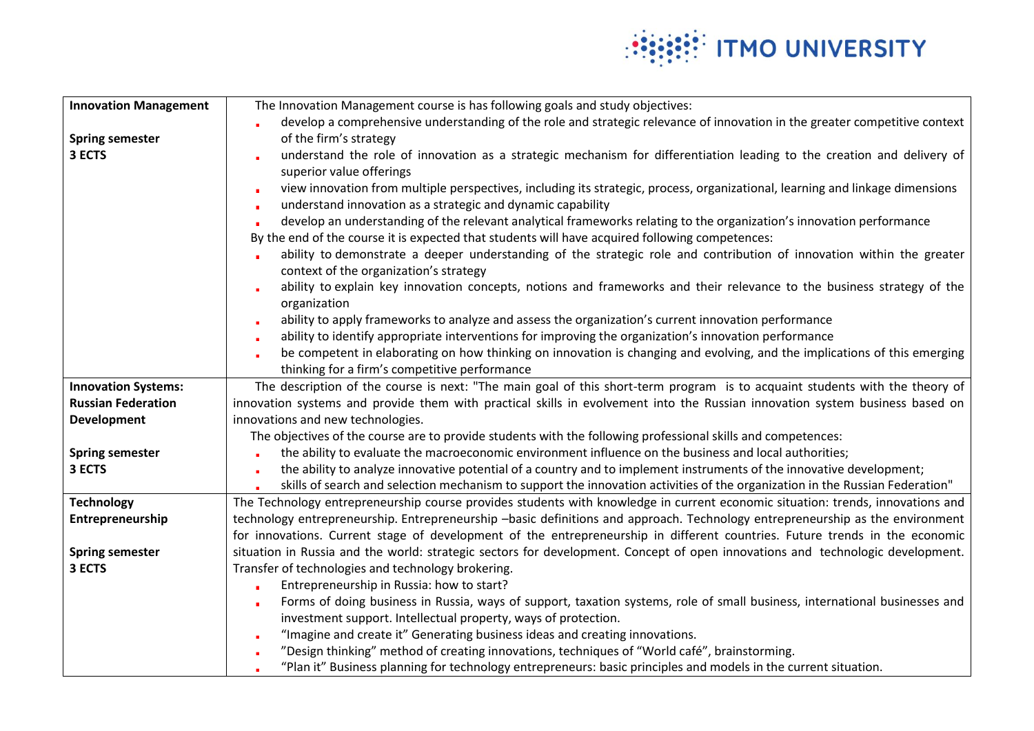

| <b>Innovation Management</b> | The Innovation Management course is has following goals and study objectives:                                                                                   |
|------------------------------|-----------------------------------------------------------------------------------------------------------------------------------------------------------------|
|                              | develop a comprehensive understanding of the role and strategic relevance of innovation in the greater competitive context                                      |
| <b>Spring semester</b>       | of the firm's strategy                                                                                                                                          |
| 3 ECTS                       | understand the role of innovation as a strategic mechanism for differentiation leading to the creation and delivery of                                          |
|                              | superior value offerings                                                                                                                                        |
|                              | view innovation from multiple perspectives, including its strategic, process, organizational, learning and linkage dimensions                                   |
|                              | understand innovation as a strategic and dynamic capability                                                                                                     |
|                              | develop an understanding of the relevant analytical frameworks relating to the organization's innovation performance                                            |
|                              | By the end of the course it is expected that students will have acquired following competences:                                                                 |
|                              | ability to demonstrate a deeper understanding of the strategic role and contribution of innovation within the greater<br>context of the organization's strategy |
|                              | ability to explain key innovation concepts, notions and frameworks and their relevance to the business strategy of the                                          |
|                              | organization                                                                                                                                                    |
|                              | ability to apply frameworks to analyze and assess the organization's current innovation performance                                                             |
|                              | ability to identify appropriate interventions for improving the organization's innovation performance                                                           |
|                              | be competent in elaborating on how thinking on innovation is changing and evolving, and the implications of this emerging                                       |
|                              | thinking for a firm's competitive performance                                                                                                                   |
| <b>Innovation Systems:</b>   | The description of the course is next: "The main goal of this short-term program is to acquaint students with the theory of                                     |
| <b>Russian Federation</b>    | innovation systems and provide them with practical skills in evolvement into the Russian innovation system business based on                                    |
| <b>Development</b>           | innovations and new technologies.                                                                                                                               |
|                              | The objectives of the course are to provide students with the following professional skills and competences:                                                    |
| <b>Spring semester</b>       | the ability to evaluate the macroeconomic environment influence on the business and local authorities;                                                          |
| 3 ECTS                       | the ability to analyze innovative potential of a country and to implement instruments of the innovative development;                                            |
|                              | skills of search and selection mechanism to support the innovation activities of the organization in the Russian Federation"                                    |
| <b>Technology</b>            | The Technology entrepreneurship course provides students with knowledge in current economic situation: trends, innovations and                                  |
| Entrepreneurship             | technology entrepreneurship. Entrepreneurship -basic definitions and approach. Technology entrepreneurship as the environment                                   |
|                              | for innovations. Current stage of development of the entrepreneurship in different countries. Future trends in the economic                                     |
| <b>Spring semester</b>       | situation in Russia and the world: strategic sectors for development. Concept of open innovations and technologic development.                                  |
| 3 ECTS                       | Transfer of technologies and technology brokering.                                                                                                              |
|                              | Entrepreneurship in Russia: how to start?                                                                                                                       |
|                              | Forms of doing business in Russia, ways of support, taxation systems, role of small business, international businesses and                                      |
|                              | investment support. Intellectual property, ways of protection.                                                                                                  |
|                              | "Imagine and create it" Generating business ideas and creating innovations.                                                                                     |
|                              | "Design thinking" method of creating innovations, techniques of "World café", brainstorming.                                                                    |
|                              | "Plan it" Business planning for technology entrepreneurs: basic principles and models in the current situation.                                                 |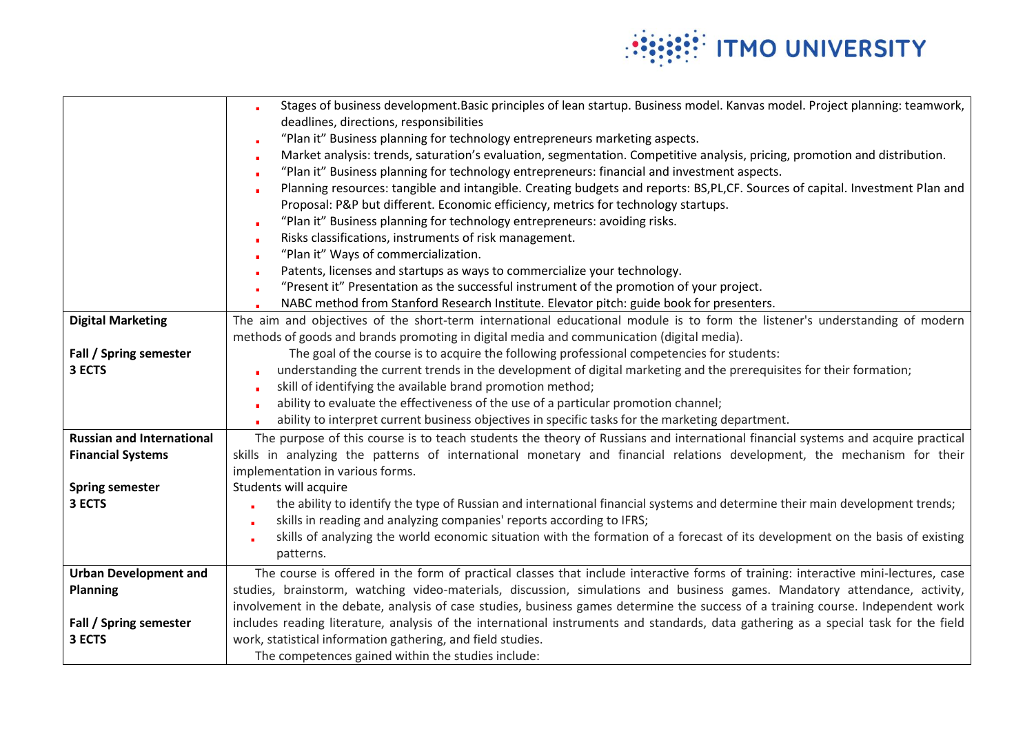

|                                  | Stages of business development. Basic principles of lean startup. Business model. Kanvas model. Project planning: teamwork,          |
|----------------------------------|--------------------------------------------------------------------------------------------------------------------------------------|
|                                  | deadlines, directions, responsibilities                                                                                              |
|                                  | "Plan it" Business planning for technology entrepreneurs marketing aspects.                                                          |
|                                  | Market analysis: trends, saturation's evaluation, segmentation. Competitive analysis, pricing, promotion and distribution.           |
|                                  | "Plan it" Business planning for technology entrepreneurs: financial and investment aspects.                                          |
|                                  | Planning resources: tangible and intangible. Creating budgets and reports: BS,PL,CF. Sources of capital. Investment Plan and<br>٠    |
|                                  | Proposal: P&P but different. Economic efficiency, metrics for technology startups.                                                   |
|                                  | "Plan it" Business planning for technology entrepreneurs: avoiding risks.                                                            |
|                                  | Risks classifications, instruments of risk management.<br>٠                                                                          |
|                                  | "Plan it" Ways of commercialization.                                                                                                 |
|                                  | Patents, licenses and startups as ways to commercialize your technology.<br>٠                                                        |
|                                  | "Present it" Presentation as the successful instrument of the promotion of your project.                                             |
|                                  | NABC method from Stanford Research Institute. Elevator pitch: guide book for presenters.                                             |
| <b>Digital Marketing</b>         | The aim and objectives of the short-term international educational module is to form the listener's understanding of modern          |
|                                  | methods of goods and brands promoting in digital media and communication (digital media).                                            |
| Fall / Spring semester           | The goal of the course is to acquire the following professional competencies for students:                                           |
| 3 ECTS                           | understanding the current trends in the development of digital marketing and the prerequisites for their formation;                  |
|                                  | skill of identifying the available brand promotion method;                                                                           |
|                                  | ability to evaluate the effectiveness of the use of a particular promotion channel;                                                  |
|                                  | ability to interpret current business objectives in specific tasks for the marketing department.                                     |
| <b>Russian and International</b> | The purpose of this course is to teach students the theory of Russians and international financial systems and acquire practical     |
| <b>Financial Systems</b>         | skills in analyzing the patterns of international monetary and financial relations development, the mechanism for their              |
|                                  | implementation in various forms.                                                                                                     |
| <b>Spring semester</b>           | Students will acquire                                                                                                                |
| 3 ECTS                           | the ability to identify the type of Russian and international financial systems and determine their main development trends;         |
|                                  | skills in reading and analyzing companies' reports according to IFRS;<br>٠                                                           |
|                                  | skills of analyzing the world economic situation with the formation of a forecast of its development on the basis of existing        |
|                                  | patterns.                                                                                                                            |
| <b>Urban Development and</b>     | The course is offered in the form of practical classes that include interactive forms of training: interactive mini-lectures, case   |
| <b>Planning</b>                  | studies, brainstorm, watching video-materials, discussion, simulations and business games. Mandatory attendance, activity,           |
|                                  | involvement in the debate, analysis of case studies, business games determine the success of a training course. Independent work     |
| Fall / Spring semester           | includes reading literature, analysis of the international instruments and standards, data gathering as a special task for the field |
| 3 ECTS                           | work, statistical information gathering, and field studies.                                                                          |
|                                  | The competences gained within the studies include:                                                                                   |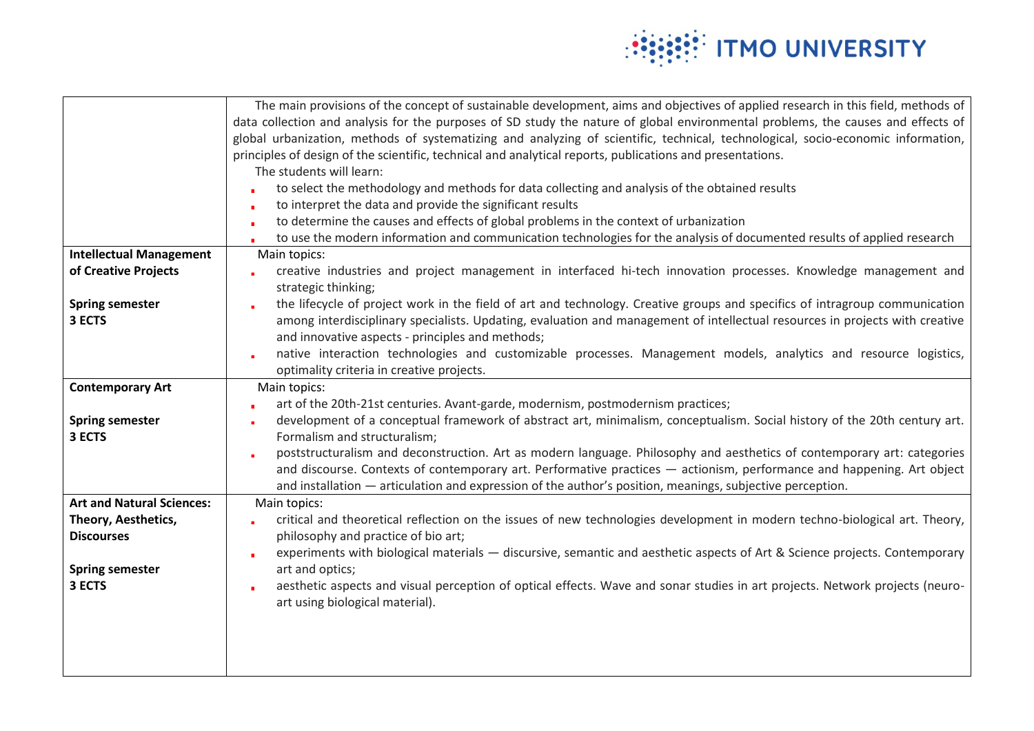

|                                  | The main provisions of the concept of sustainable development, aims and objectives of applied research in this field, methods of  |
|----------------------------------|-----------------------------------------------------------------------------------------------------------------------------------|
|                                  | data collection and analysis for the purposes of SD study the nature of global environmental problems, the causes and effects of  |
|                                  | global urbanization, methods of systematizing and analyzing of scientific, technical, technological, socio-economic information,  |
|                                  | principles of design of the scientific, technical and analytical reports, publications and presentations.                         |
|                                  | The students will learn:                                                                                                          |
|                                  | to select the methodology and methods for data collecting and analysis of the obtained results                                    |
|                                  | to interpret the data and provide the significant results<br>٠                                                                    |
|                                  | to determine the causes and effects of global problems in the context of urbanization<br>٠                                        |
|                                  | to use the modern information and communication technologies for the analysis of documented results of applied research           |
| <b>Intellectual Management</b>   | Main topics:                                                                                                                      |
| of Creative Projects             | creative industries and project management in interfaced hi-tech innovation processes. Knowledge management and                   |
|                                  | strategic thinking;                                                                                                               |
| <b>Spring semester</b>           | the lifecycle of project work in the field of art and technology. Creative groups and specifics of intragroup communication       |
| 3 ECTS                           | among interdisciplinary specialists. Updating, evaluation and management of intellectual resources in projects with creative      |
|                                  | and innovative aspects - principles and methods;                                                                                  |
|                                  | native interaction technologies and customizable processes. Management models, analytics and resource logistics,<br>×             |
|                                  | optimality criteria in creative projects.                                                                                         |
| <b>Contemporary Art</b>          | Main topics:                                                                                                                      |
|                                  | art of the 20th-21st centuries. Avant-garde, modernism, postmodernism practices;                                                  |
| <b>Spring semester</b>           | development of a conceptual framework of abstract art, minimalism, conceptualism. Social history of the 20th century art.<br>×    |
| 3 ECTS                           | Formalism and structuralism;                                                                                                      |
|                                  | poststructuralism and deconstruction. Art as modern language. Philosophy and aesthetics of contemporary art: categories           |
|                                  | and discourse. Contexts of contemporary art. Performative practices - actionism, performance and happening. Art object            |
|                                  | and installation — articulation and expression of the author's position, meanings, subjective perception.                         |
| <b>Art and Natural Sciences:</b> | Main topics:                                                                                                                      |
| Theory, Aesthetics,              | critical and theoretical reflection on the issues of new technologies development in modern techno-biological art. Theory,        |
| <b>Discourses</b>                | philosophy and practice of bio art;                                                                                               |
|                                  | experiments with biological materials - discursive, semantic and aesthetic aspects of Art & Science projects. Contemporary<br>٠   |
| <b>Spring semester</b>           | art and optics;                                                                                                                   |
| 3 ECTS                           | aesthetic aspects and visual perception of optical effects. Wave and sonar studies in art projects. Network projects (neuro-<br>× |
|                                  | art using biological material).                                                                                                   |
|                                  |                                                                                                                                   |
|                                  |                                                                                                                                   |
|                                  |                                                                                                                                   |
|                                  |                                                                                                                                   |
|                                  |                                                                                                                                   |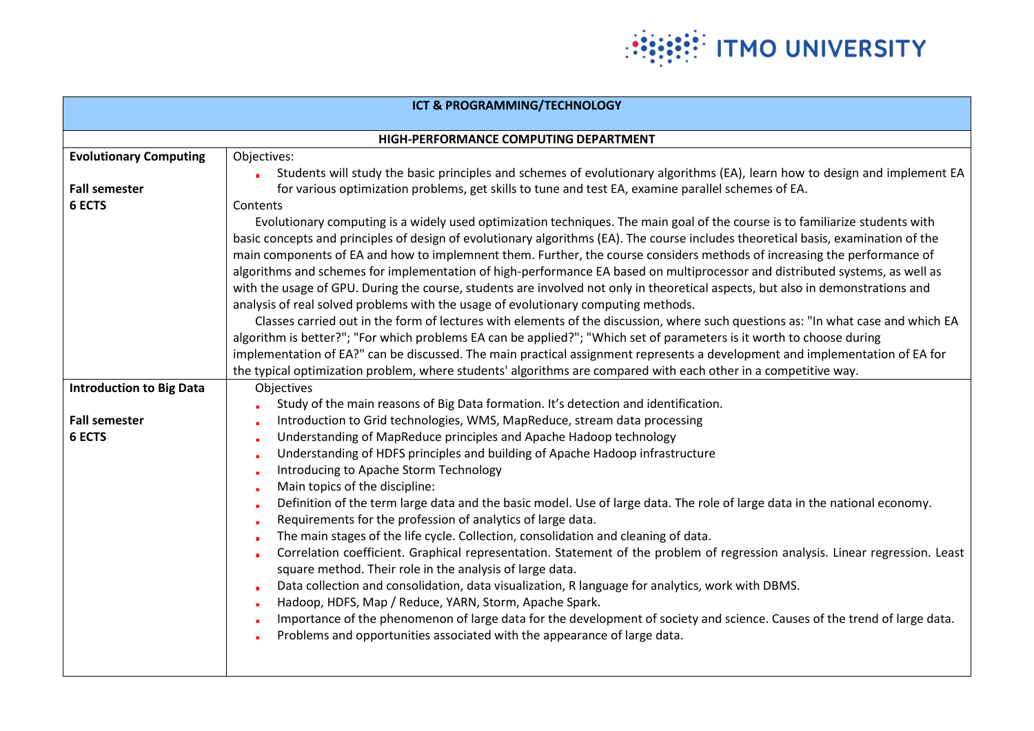

| ICT & PROGRAMMING/TECHNOLOGY    |                                                                                                                                                                                          |  |
|---------------------------------|------------------------------------------------------------------------------------------------------------------------------------------------------------------------------------------|--|
|                                 |                                                                                                                                                                                          |  |
|                                 | HIGH-PERFORMANCE COMPUTING DEPARTMENT                                                                                                                                                    |  |
| <b>Evolutionary Computing</b>   | Objectives:                                                                                                                                                                              |  |
|                                 | Students will study the basic principles and schemes of evolutionary algorithms (EA), learn how to design and implement EA                                                               |  |
| <b>Fall semester</b>            | for various optimization problems, get skills to tune and test EA, examine parallel schemes of EA.                                                                                       |  |
| <b>6 ECTS</b>                   | Contents                                                                                                                                                                                 |  |
|                                 | Evolutionary computing is a widely used optimization techniques. The main goal of the course is to familiarize students with                                                             |  |
|                                 | basic concepts and principles of design of evolutionary algorithms (EA). The course includes theoretical basis, examination of the                                                       |  |
|                                 | main components of EA and how to implemnent them. Further, the course considers methods of increasing the performance of                                                                 |  |
|                                 | algorithms and schemes for implementation of high-performance EA based on multiprocessor and distributed systems, as well as                                                             |  |
|                                 | with the usage of GPU. During the course, students are involved not only in theoretical aspects, but also in demonstrations and                                                          |  |
|                                 | analysis of real solved problems with the usage of evolutionary computing methods.                                                                                                       |  |
|                                 | Classes carried out in the form of lectures with elements of the discussion, where such questions as: "In what case and which EA                                                         |  |
|                                 | algorithm is better?"; "For which problems EA can be applied?"; "Which set of parameters is it worth to choose during                                                                    |  |
|                                 | implementation of EA?" can be discussed. The main practical assignment represents a development and implementation of EA for                                                             |  |
|                                 | the typical optimization problem, where students' algorithms are compared with each other in a competitive way.                                                                          |  |
| <b>Introduction to Big Data</b> | Objectives                                                                                                                                                                               |  |
|                                 | Study of the main reasons of Big Data formation. It's detection and identification.                                                                                                      |  |
| <b>Fall semester</b>            | Introduction to Grid technologies, WMS, MapReduce, stream data processing                                                                                                                |  |
| 6 ECTS                          | Understanding of MapReduce principles and Apache Hadoop technology                                                                                                                       |  |
|                                 | Understanding of HDFS principles and building of Apache Hadoop infrastructure                                                                                                            |  |
|                                 | Introducing to Apache Storm Technology                                                                                                                                                   |  |
|                                 | Main topics of the discipline:                                                                                                                                                           |  |
|                                 | Definition of the term large data and the basic model. Use of large data. The role of large data in the national economy.                                                                |  |
|                                 | Requirements for the profession of analytics of large data.                                                                                                                              |  |
|                                 | The main stages of the life cycle. Collection, consolidation and cleaning of data.                                                                                                       |  |
|                                 | Correlation coefficient. Graphical representation. Statement of the problem of regression analysis. Linear regression. Least<br>square method. Their role in the analysis of large data. |  |
|                                 | Data collection and consolidation, data visualization, R language for analytics, work with DBMS.                                                                                         |  |
|                                 | Hadoop, HDFS, Map / Reduce, YARN, Storm, Apache Spark.                                                                                                                                   |  |
|                                 | Importance of the phenomenon of large data for the development of society and science. Causes of the trend of large data.                                                                |  |
|                                 | Problems and opportunities associated with the appearance of large data.                                                                                                                 |  |
|                                 |                                                                                                                                                                                          |  |
|                                 |                                                                                                                                                                                          |  |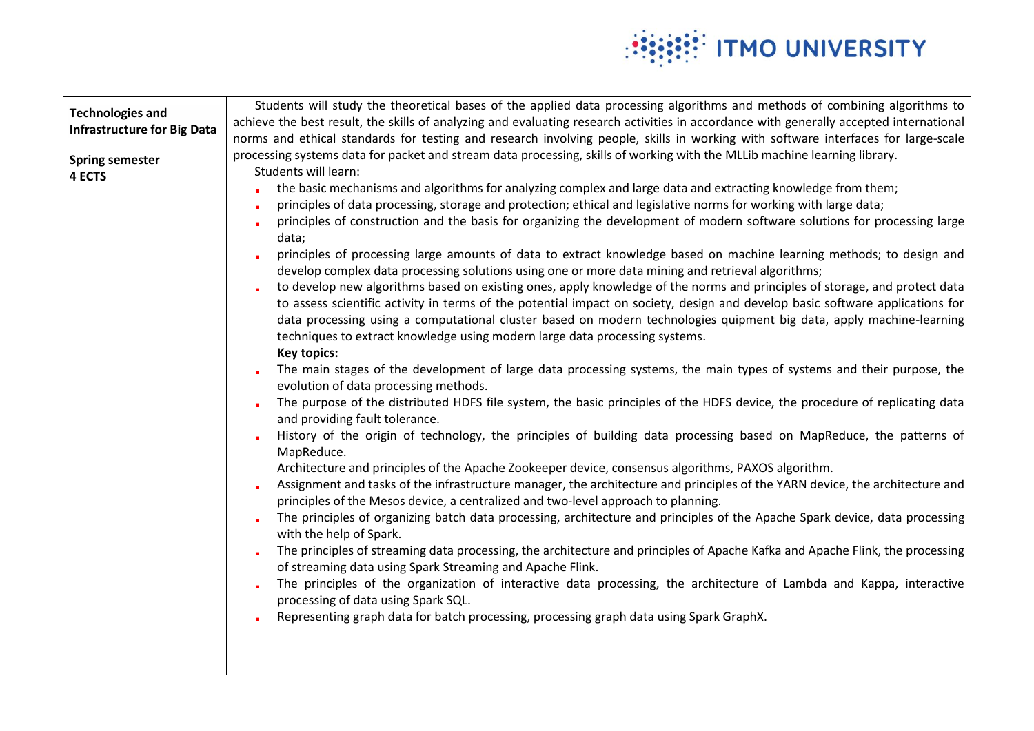

| <b>Technologies and</b><br><b>Infrastructure for Big Data</b><br><b>Spring semester</b><br>4 ECTS | Students will study the theoretical bases of the applied data processing algorithms and methods of combining algorithms to<br>achieve the best result, the skills of analyzing and evaluating research activities in accordance with generally accepted international<br>norms and ethical standards for testing and research involving people, skills in working with software interfaces for large-scale<br>processing systems data for packet and stream data processing, skills of working with the MLLib machine learning library.<br>Students will learn:<br>the basic mechanisms and algorithms for analyzing complex and large data and extracting knowledge from them;<br>principles of data processing, storage and protection; ethical and legislative norms for working with large data;<br>principles of construction and the basis for organizing the development of modern software solutions for processing large<br>data;<br>principles of processing large amounts of data to extract knowledge based on machine learning methods; to design and<br>develop complex data processing solutions using one or more data mining and retrieval algorithms;<br>to develop new algorithms based on existing ones, apply knowledge of the norms and principles of storage, and protect data<br>to assess scientific activity in terms of the potential impact on society, design and develop basic software applications for<br>data processing using a computational cluster based on modern technologies quipment big data, apply machine-learning<br>techniques to extract knowledge using modern large data processing systems.<br><b>Key topics:</b><br>The main stages of the development of large data processing systems, the main types of systems and their purpose, the<br>evolution of data processing methods.<br>The purpose of the distributed HDFS file system, the basic principles of the HDFS device, the procedure of replicating data<br>and providing fault tolerance.<br>History of the origin of technology, the principles of building data processing based on MapReduce, the patterns of<br>MapReduce.<br>Architecture and principles of the Apache Zookeeper device, consensus algorithms, PAXOS algorithm.<br>Assignment and tasks of the infrastructure manager, the architecture and principles of the YARN device, the architecture and<br>principles of the Mesos device, a centralized and two-level approach to planning.<br>The principles of organizing batch data processing, architecture and principles of the Apache Spark device, data processing<br>with the help of Spark.<br>The principles of streaming data processing, the architecture and principles of Apache Kafka and Apache Flink, the processing<br>of streaming data using Spark Streaming and Apache Flink.<br>The principles of the organization of interactive data processing, the architecture of Lambda and Kappa, interactive<br>processing of data using Spark SQL. |
|---------------------------------------------------------------------------------------------------|-----------------------------------------------------------------------------------------------------------------------------------------------------------------------------------------------------------------------------------------------------------------------------------------------------------------------------------------------------------------------------------------------------------------------------------------------------------------------------------------------------------------------------------------------------------------------------------------------------------------------------------------------------------------------------------------------------------------------------------------------------------------------------------------------------------------------------------------------------------------------------------------------------------------------------------------------------------------------------------------------------------------------------------------------------------------------------------------------------------------------------------------------------------------------------------------------------------------------------------------------------------------------------------------------------------------------------------------------------------------------------------------------------------------------------------------------------------------------------------------------------------------------------------------------------------------------------------------------------------------------------------------------------------------------------------------------------------------------------------------------------------------------------------------------------------------------------------------------------------------------------------------------------------------------------------------------------------------------------------------------------------------------------------------------------------------------------------------------------------------------------------------------------------------------------------------------------------------------------------------------------------------------------------------------------------------------------------------------------------------------------------------------------------------------------------------------------------------------------------------------------------------------------------------------------------------------------------------------------------------------------------------------------------------------------------------------------------------------------------------------------------------------------------------------------------------------------------------------------------------------------------------------------------------------------------------------------------------------------------------------|
|                                                                                                   | Representing graph data for batch processing, processing graph data using Spark GraphX.                                                                                                                                                                                                                                                                                                                                                                                                                                                                                                                                                                                                                                                                                                                                                                                                                                                                                                                                                                                                                                                                                                                                                                                                                                                                                                                                                                                                                                                                                                                                                                                                                                                                                                                                                                                                                                                                                                                                                                                                                                                                                                                                                                                                                                                                                                                                                                                                                                                                                                                                                                                                                                                                                                                                                                                                                                                                                                       |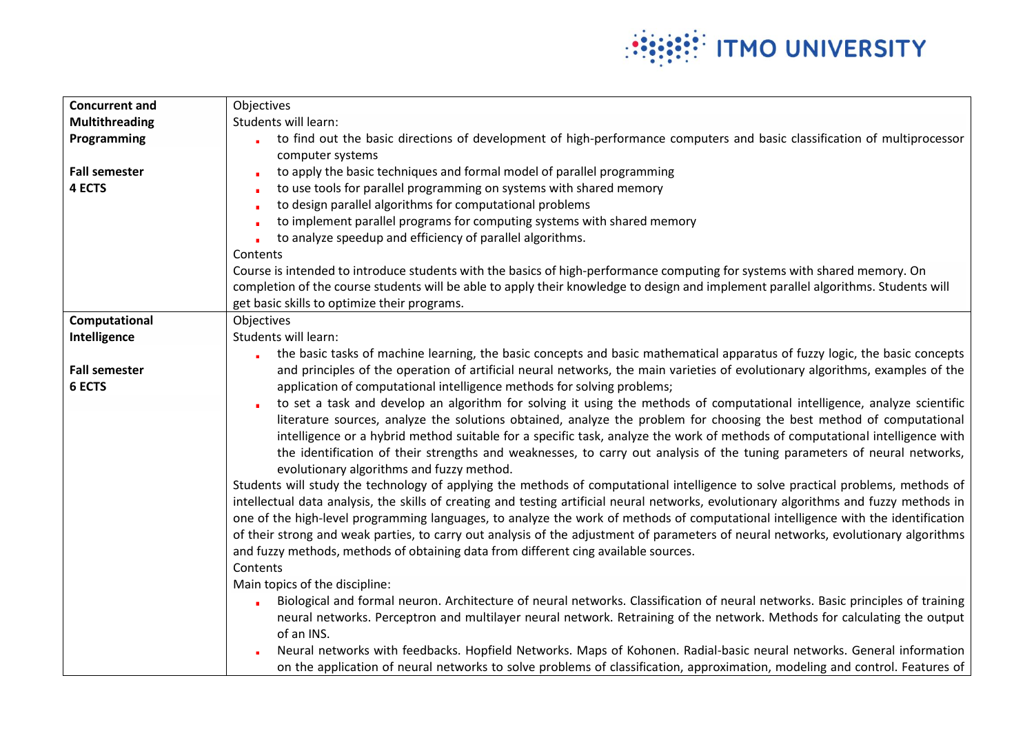

| <b>Concurrent and</b> | Objectives                                                                                                                                   |
|-----------------------|----------------------------------------------------------------------------------------------------------------------------------------------|
| <b>Multithreading</b> | Students will learn:                                                                                                                         |
| Programming           | to find out the basic directions of development of high-performance computers and basic classification of multiprocessor<br>computer systems |
| <b>Fall semester</b>  | to apply the basic techniques and formal model of parallel programming                                                                       |
| 4 ECTS                | to use tools for parallel programming on systems with shared memory                                                                          |
|                       | to design parallel algorithms for computational problems                                                                                     |
|                       | to implement parallel programs for computing systems with shared memory                                                                      |
|                       | to analyze speedup and efficiency of parallel algorithms.                                                                                    |
|                       | Contents                                                                                                                                     |
|                       | Course is intended to introduce students with the basics of high-performance computing for systems with shared memory. On                    |
|                       | completion of the course students will be able to apply their knowledge to design and implement parallel algorithms. Students will           |
|                       | get basic skills to optimize their programs.                                                                                                 |
| Computational         | Objectives                                                                                                                                   |
| Intelligence          | Students will learn:                                                                                                                         |
|                       | the basic tasks of machine learning, the basic concepts and basic mathematical apparatus of fuzzy logic, the basic concepts                  |
| <b>Fall semester</b>  | and principles of the operation of artificial neural networks, the main varieties of evolutionary algorithms, examples of the                |
| 6 ECTS                | application of computational intelligence methods for solving problems;                                                                      |
|                       | to set a task and develop an algorithm for solving it using the methods of computational intelligence, analyze scientific                    |
|                       | literature sources, analyze the solutions obtained, analyze the problem for choosing the best method of computational                        |
|                       | intelligence or a hybrid method suitable for a specific task, analyze the work of methods of computational intelligence with                 |
|                       | the identification of their strengths and weaknesses, to carry out analysis of the tuning parameters of neural networks,                     |
|                       | evolutionary algorithms and fuzzy method.                                                                                                    |
|                       | Students will study the technology of applying the methods of computational intelligence to solve practical problems, methods of             |
|                       | intellectual data analysis, the skills of creating and testing artificial neural networks, evolutionary algorithms and fuzzy methods in      |
|                       | one of the high-level programming languages, to analyze the work of methods of computational intelligence with the identification            |
|                       | of their strong and weak parties, to carry out analysis of the adjustment of parameters of neural networks, evolutionary algorithms          |
|                       | and fuzzy methods, methods of obtaining data from different cing available sources.<br>Contents                                              |
|                       | Main topics of the discipline:                                                                                                               |
|                       | Biological and formal neuron. Architecture of neural networks. Classification of neural networks. Basic principles of training               |
|                       | neural networks. Perceptron and multilayer neural network. Retraining of the network. Methods for calculating the output                     |
|                       | of an INS.                                                                                                                                   |
|                       | Neural networks with feedbacks. Hopfield Networks. Maps of Kohonen. Radial-basic neural networks. General information                        |
|                       | on the application of neural networks to solve problems of classification, approximation, modeling and control. Features of                  |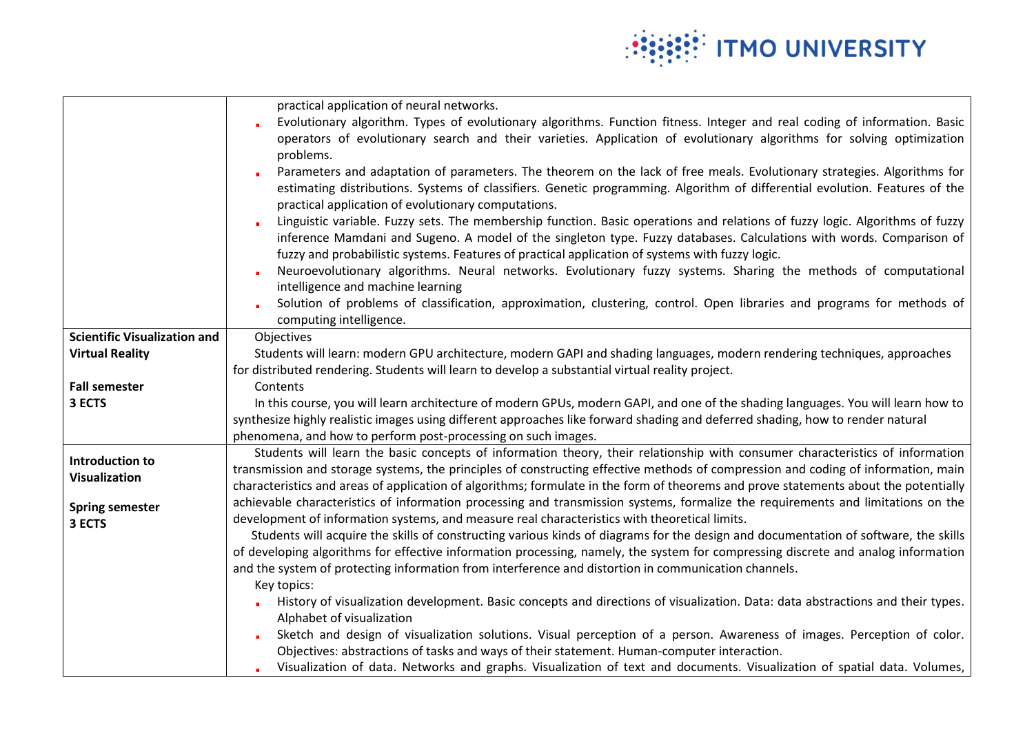

|                                     | practical application of neural networks.                                                                                                                                          |
|-------------------------------------|------------------------------------------------------------------------------------------------------------------------------------------------------------------------------------|
|                                     | Evolutionary algorithm. Types of evolutionary algorithms. Function fitness. Integer and real coding of information. Basic                                                          |
|                                     | operators of evolutionary search and their varieties. Application of evolutionary algorithms for solving optimization<br>problems.                                                 |
|                                     | Parameters and adaptation of parameters. The theorem on the lack of free meals. Evolutionary strategies. Algorithms for                                                            |
|                                     | estimating distributions. Systems of classifiers. Genetic programming. Algorithm of differential evolution. Features of the<br>practical application of evolutionary computations. |
|                                     | Linguistic variable. Fuzzy sets. The membership function. Basic operations and relations of fuzzy logic. Algorithms of fuzzy                                                       |
|                                     | inference Mamdani and Sugeno. A model of the singleton type. Fuzzy databases. Calculations with words. Comparison of                                                               |
|                                     | fuzzy and probabilistic systems. Features of practical application of systems with fuzzy logic.                                                                                    |
|                                     | Neuroevolutionary algorithms. Neural networks. Evolutionary fuzzy systems. Sharing the methods of computational<br>intelligence and machine learning                               |
|                                     | Solution of problems of classification, approximation, clustering, control. Open libraries and programs for methods of<br>computing intelligence.                                  |
| <b>Scientific Visualization and</b> | Objectives                                                                                                                                                                         |
| <b>Virtual Reality</b>              | Students will learn: modern GPU architecture, modern GAPI and shading languages, modern rendering techniques, approaches                                                           |
|                                     | for distributed rendering. Students will learn to develop a substantial virtual reality project.                                                                                   |
| <b>Fall semester</b>                | Contents                                                                                                                                                                           |
| 3 ECTS                              | In this course, you will learn architecture of modern GPUs, modern GAPI, and one of the shading languages. You will learn how to                                                   |
|                                     | synthesize highly realistic images using different approaches like forward shading and deferred shading, how to render natural                                                     |
|                                     | phenomena, and how to perform post-processing on such images.                                                                                                                      |
|                                     | Students will learn the basic concepts of information theory, their relationship with consumer characteristics of information                                                      |
| <b>Introduction to</b>              | transmission and storage systems, the principles of constructing effective methods of compression and coding of information, main                                                  |
| <b>Visualization</b>                | characteristics and areas of application of algorithms; formulate in the form of theorems and prove statements about the potentially                                               |
|                                     | achievable characteristics of information processing and transmission systems, formalize the requirements and limitations on the                                                   |
| <b>Spring semester</b><br>3 ECTS    | development of information systems, and measure real characteristics with theoretical limits.                                                                                      |
|                                     | Students will acquire the skills of constructing various kinds of diagrams for the design and documentation of software, the skills                                                |
|                                     | of developing algorithms for effective information processing, namely, the system for compressing discrete and analog information                                                  |
|                                     | and the system of protecting information from interference and distortion in communication channels.                                                                               |
|                                     | Key topics:                                                                                                                                                                        |
|                                     | History of visualization development. Basic concepts and directions of visualization. Data: data abstractions and their types.                                                     |
|                                     | Alphabet of visualization                                                                                                                                                          |
|                                     | Sketch and design of visualization solutions. Visual perception of a person. Awareness of images. Perception of color.                                                             |
|                                     | Objectives: abstractions of tasks and ways of their statement. Human-computer interaction.                                                                                         |
|                                     | Visualization of data. Networks and graphs. Visualization of text and documents. Visualization of spatial data. Volumes,                                                           |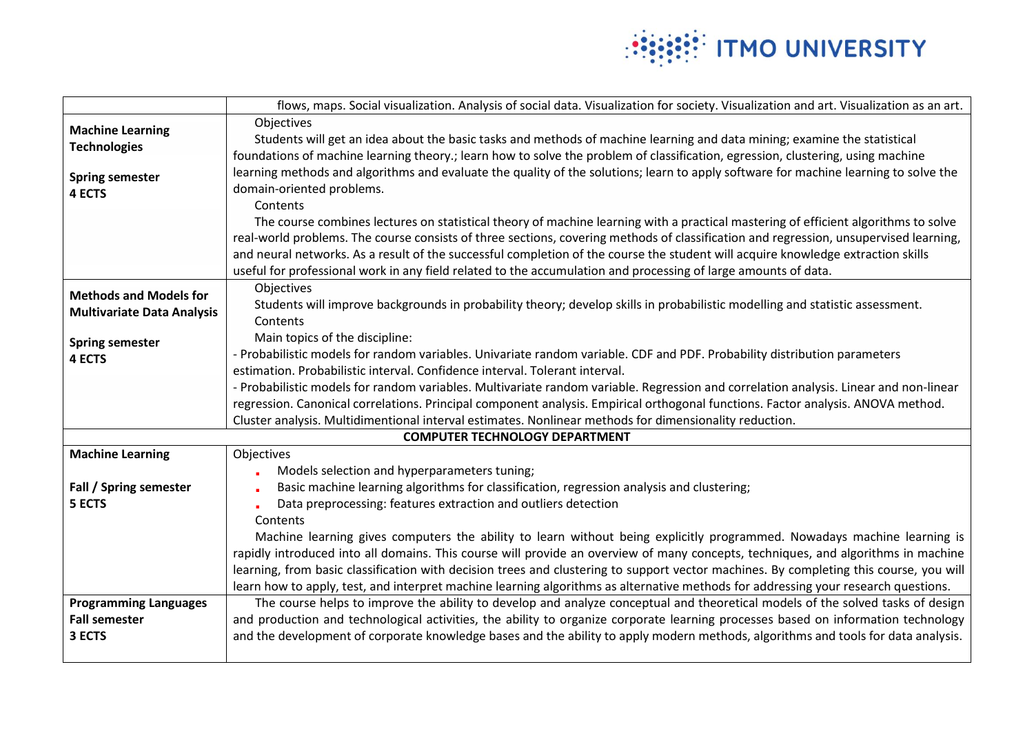

|                                                      | flows, maps. Social visualization. Analysis of social data. Visualization for society. Visualization and art. Visualization as an art.                                                                                                                              |
|------------------------------------------------------|---------------------------------------------------------------------------------------------------------------------------------------------------------------------------------------------------------------------------------------------------------------------|
| <b>Machine Learning</b>                              | Objectives                                                                                                                                                                                                                                                          |
| <b>Technologies</b>                                  | Students will get an idea about the basic tasks and methods of machine learning and data mining; examine the statistical                                                                                                                                            |
|                                                      | foundations of machine learning theory.; learn how to solve the problem of classification, egression, clustering, using machine                                                                                                                                     |
| <b>Spring semester</b>                               | learning methods and algorithms and evaluate the quality of the solutions; learn to apply software for machine learning to solve the                                                                                                                                |
| <b>4 ECTS</b>                                        | domain-oriented problems.                                                                                                                                                                                                                                           |
|                                                      | Contents                                                                                                                                                                                                                                                            |
|                                                      | The course combines lectures on statistical theory of machine learning with a practical mastering of efficient algorithms to solve                                                                                                                                  |
|                                                      | real-world problems. The course consists of three sections, covering methods of classification and regression, unsupervised learning,                                                                                                                               |
|                                                      | and neural networks. As a result of the successful completion of the course the student will acquire knowledge extraction skills                                                                                                                                    |
|                                                      | useful for professional work in any field related to the accumulation and processing of large amounts of data.                                                                                                                                                      |
| <b>Methods and Models for</b>                        | Objectives                                                                                                                                                                                                                                                          |
| <b>Multivariate Data Analysis</b>                    | Students will improve backgrounds in probability theory; develop skills in probabilistic modelling and statistic assessment.                                                                                                                                        |
|                                                      | Contents                                                                                                                                                                                                                                                            |
| <b>Spring semester</b>                               | Main topics of the discipline:                                                                                                                                                                                                                                      |
| 4 ECTS                                               | - Probabilistic models for random variables. Univariate random variable. CDF and PDF. Probability distribution parameters                                                                                                                                           |
|                                                      | estimation. Probabilistic interval. Confidence interval. Tolerant interval.                                                                                                                                                                                         |
|                                                      | - Probabilistic models for random variables. Multivariate random variable. Regression and correlation analysis. Linear and non-linear                                                                                                                               |
|                                                      | regression. Canonical correlations. Principal component analysis. Empirical orthogonal functions. Factor analysis. ANOVA method.                                                                                                                                    |
|                                                      | Cluster analysis. Multidimentional interval estimates. Nonlinear methods for dimensionality reduction.                                                                                                                                                              |
|                                                      | <b>COMPUTER TECHNOLOGY DEPARTMENT</b>                                                                                                                                                                                                                               |
| <b>Machine Learning</b>                              | Objectives                                                                                                                                                                                                                                                          |
|                                                      | Models selection and hyperparameters tuning;                                                                                                                                                                                                                        |
| Fall / Spring semester                               | Basic machine learning algorithms for classification, regression analysis and clustering;                                                                                                                                                                           |
| 5 ECTS                                               | Data preprocessing: features extraction and outliers detection                                                                                                                                                                                                      |
|                                                      | Contents                                                                                                                                                                                                                                                            |
|                                                      | Machine learning gives computers the ability to learn without being explicitly programmed. Nowadays machine learning is                                                                                                                                             |
|                                                      | rapidly introduced into all domains. This course will provide an overview of many concepts, techniques, and algorithms in machine                                                                                                                                   |
|                                                      | learning, from basic classification with decision trees and clustering to support vector machines. By completing this course, you will                                                                                                                              |
|                                                      | learn how to apply, test, and interpret machine learning algorithms as alternative methods for addressing your research questions.                                                                                                                                  |
| <b>Programming Languages</b><br><b>Fall semester</b> | The course helps to improve the ability to develop and analyze conceptual and theoretical models of the solved tasks of design<br>and production and technological activities, the ability to organize corporate learning processes based on information technology |
| 3 ECTS                                               | and the development of corporate knowledge bases and the ability to apply modern methods, algorithms and tools for data analysis.                                                                                                                                   |
|                                                      |                                                                                                                                                                                                                                                                     |
|                                                      |                                                                                                                                                                                                                                                                     |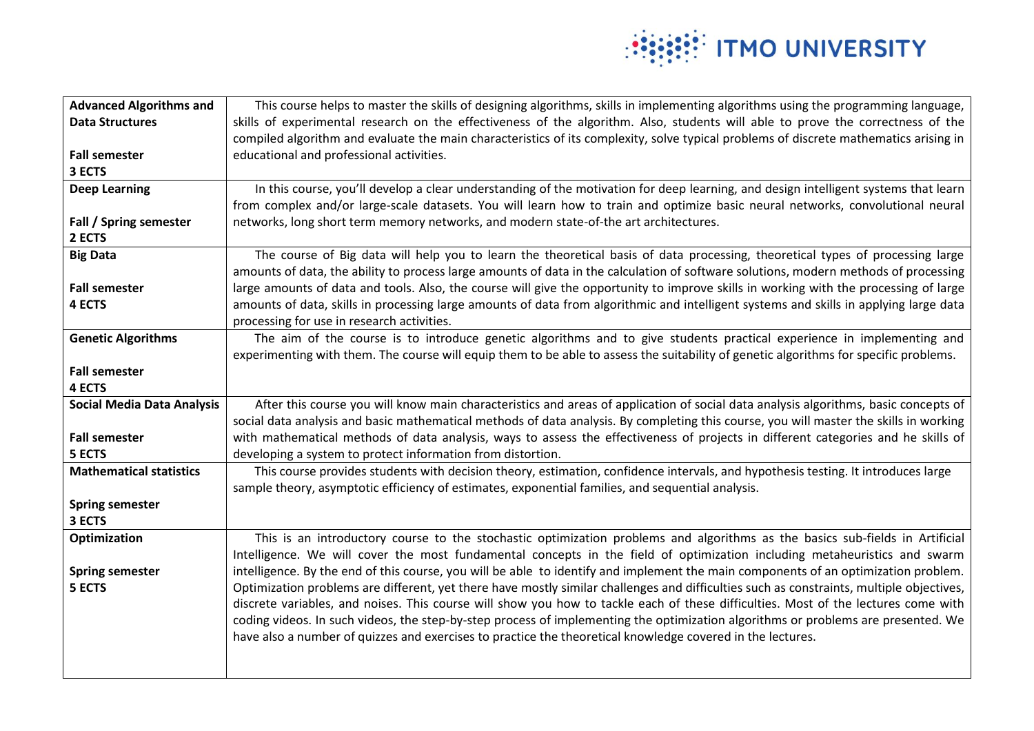

| <b>Advanced Algorithms and</b>    | This course helps to master the skills of designing algorithms, skills in implementing algorithms using the programming language,        |
|-----------------------------------|------------------------------------------------------------------------------------------------------------------------------------------|
| <b>Data Structures</b>            | skills of experimental research on the effectiveness of the algorithm. Also, students will able to prove the correctness of the          |
|                                   | compiled algorithm and evaluate the main characteristics of its complexity, solve typical problems of discrete mathematics arising in    |
| <b>Fall semester</b>              | educational and professional activities.                                                                                                 |
| 3 ECTS                            |                                                                                                                                          |
| <b>Deep Learning</b>              | In this course, you'll develop a clear understanding of the motivation for deep learning, and design intelligent systems that learn      |
|                                   | from complex and/or large-scale datasets. You will learn how to train and optimize basic neural networks, convolutional neural           |
| Fall / Spring semester            | networks, long short term memory networks, and modern state-of-the art architectures.                                                    |
| 2 ECTS                            |                                                                                                                                          |
| <b>Big Data</b>                   | The course of Big data will help you to learn the theoretical basis of data processing, theoretical types of processing large            |
|                                   | amounts of data, the ability to process large amounts of data in the calculation of software solutions, modern methods of processing     |
| <b>Fall semester</b>              | large amounts of data and tools. Also, the course will give the opportunity to improve skills in working with the processing of large    |
| 4 ECTS                            | amounts of data, skills in processing large amounts of data from algorithmic and intelligent systems and skills in applying large data   |
|                                   | processing for use in research activities.                                                                                               |
| <b>Genetic Algorithms</b>         | The aim of the course is to introduce genetic algorithms and to give students practical experience in implementing and                   |
|                                   | experimenting with them. The course will equip them to be able to assess the suitability of genetic algorithms for specific problems.    |
| <b>Fall semester</b>              |                                                                                                                                          |
| 4 ECTS                            |                                                                                                                                          |
| <b>Social Media Data Analysis</b> | After this course you will know main characteristics and areas of application of social data analysis algorithms, basic concepts of      |
|                                   | social data analysis and basic mathematical methods of data analysis. By completing this course, you will master the skills in working   |
| <b>Fall semester</b>              | with mathematical methods of data analysis, ways to assess the effectiveness of projects in different categories and he skills of        |
| 5 ECTS                            | developing a system to protect information from distortion.                                                                              |
| <b>Mathematical statistics</b>    | This course provides students with decision theory, estimation, confidence intervals, and hypothesis testing. It introduces large        |
|                                   | sample theory, asymptotic efficiency of estimates, exponential families, and sequential analysis.                                        |
| <b>Spring semester</b>            |                                                                                                                                          |
| 3 ECTS                            |                                                                                                                                          |
| Optimization                      | This is an introductory course to the stochastic optimization problems and algorithms as the basics sub-fields in Artificial             |
|                                   | Intelligence. We will cover the most fundamental concepts in the field of optimization including metaheuristics and swarm                |
| <b>Spring semester</b>            | intelligence. By the end of this course, you will be able to identify and implement the main components of an optimization problem.      |
| 5 ECTS                            | Optimization problems are different, yet there have mostly similar challenges and difficulties such as constraints, multiple objectives, |
|                                   | discrete variables, and noises. This course will show you how to tackle each of these difficulties. Most of the lectures come with       |
|                                   | coding videos. In such videos, the step-by-step process of implementing the optimization algorithms or problems are presented. We        |
|                                   | have also a number of quizzes and exercises to practice the theoretical knowledge covered in the lectures.                               |
|                                   |                                                                                                                                          |
|                                   |                                                                                                                                          |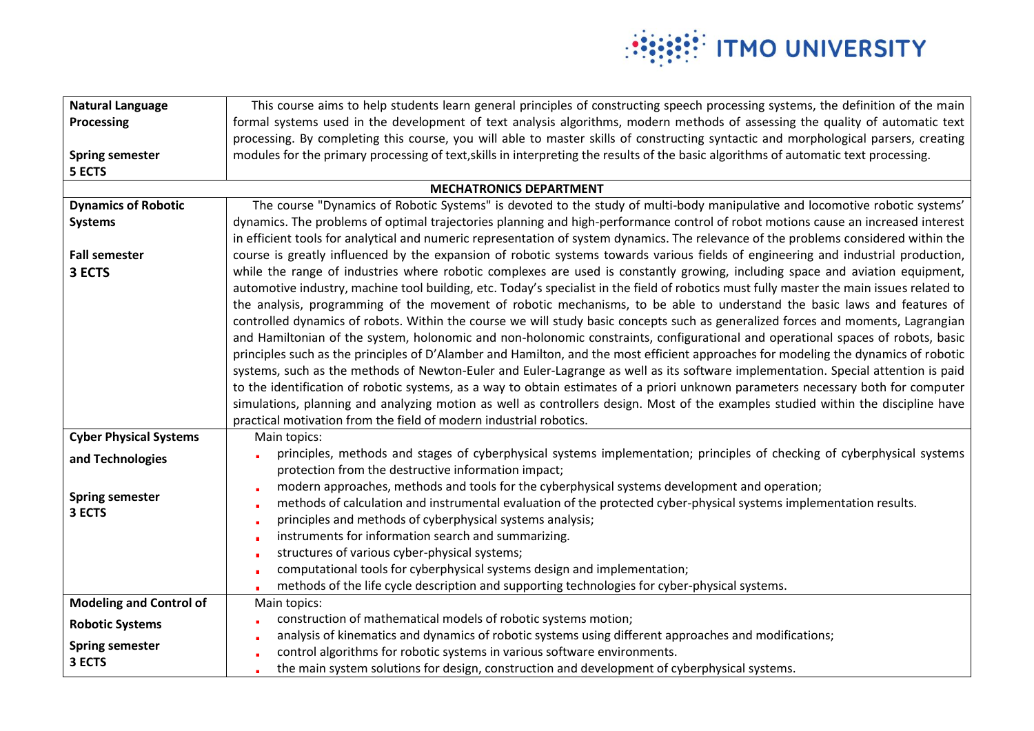

| <b>Natural Language</b>        | This course aims to help students learn general principles of constructing speech processing systems, the definition of the main          |
|--------------------------------|-------------------------------------------------------------------------------------------------------------------------------------------|
| <b>Processing</b>              | formal systems used in the development of text analysis algorithms, modern methods of assessing the quality of automatic text             |
|                                | processing. By completing this course, you will able to master skills of constructing syntactic and morphological parsers, creating       |
| <b>Spring semester</b>         | modules for the primary processing of text, skills in interpreting the results of the basic algorithms of automatic text processing.      |
| 5 ECTS                         |                                                                                                                                           |
|                                | <b>MECHATRONICS DEPARTMENT</b>                                                                                                            |
| <b>Dynamics of Robotic</b>     | The course "Dynamics of Robotic Systems" is devoted to the study of multi-body manipulative and locomotive robotic systems'               |
| <b>Systems</b>                 | dynamics. The problems of optimal trajectories planning and high-performance control of robot motions cause an increased interest         |
|                                | in efficient tools for analytical and numeric representation of system dynamics. The relevance of the problems considered within the      |
| <b>Fall semester</b>           | course is greatly influenced by the expansion of robotic systems towards various fields of engineering and industrial production,         |
| 3 ECTS                         | while the range of industries where robotic complexes are used is constantly growing, including space and aviation equipment,             |
|                                | automotive industry, machine tool building, etc. Today's specialist in the field of robotics must fully master the main issues related to |
|                                | the analysis, programming of the movement of robotic mechanisms, to be able to understand the basic laws and features of                  |
|                                | controlled dynamics of robots. Within the course we will study basic concepts such as generalized forces and moments, Lagrangian          |
|                                | and Hamiltonian of the system, holonomic and non-holonomic constraints, configurational and operational spaces of robots, basic           |
|                                | principles such as the principles of D'Alamber and Hamilton, and the most efficient approaches for modeling the dynamics of robotic       |
|                                | systems, such as the methods of Newton-Euler and Euler-Lagrange as well as its software implementation. Special attention is paid         |
|                                | to the identification of robotic systems, as a way to obtain estimates of a priori unknown parameters necessary both for computer         |
|                                | simulations, planning and analyzing motion as well as controllers design. Most of the examples studied within the discipline have         |
|                                | practical motivation from the field of modern industrial robotics.                                                                        |
| <b>Cyber Physical Systems</b>  | Main topics:                                                                                                                              |
| and Technologies               | principles, methods and stages of cyberphysical systems implementation; principles of checking of cyberphysical systems                   |
|                                | protection from the destructive information impact;                                                                                       |
| <b>Spring semester</b>         | modern approaches, methods and tools for the cyberphysical systems development and operation;                                             |
| 3 ECTS                         | methods of calculation and instrumental evaluation of the protected cyber-physical systems implementation results.                        |
|                                | principles and methods of cyberphysical systems analysis;                                                                                 |
|                                | instruments for information search and summarizing.                                                                                       |
|                                | structures of various cyber-physical systems;                                                                                             |
|                                | computational tools for cyberphysical systems design and implementation;                                                                  |
|                                | methods of the life cycle description and supporting technologies for cyber-physical systems.                                             |
| <b>Modeling and Control of</b> | Main topics:                                                                                                                              |
| <b>Robotic Systems</b>         | construction of mathematical models of robotic systems motion;                                                                            |
| <b>Spring semester</b>         | analysis of kinematics and dynamics of robotic systems using different approaches and modifications;                                      |
| 3 ECTS                         | control algorithms for robotic systems in various software environments.                                                                  |
|                                | the main system solutions for design, construction and development of cyberphysical systems.                                              |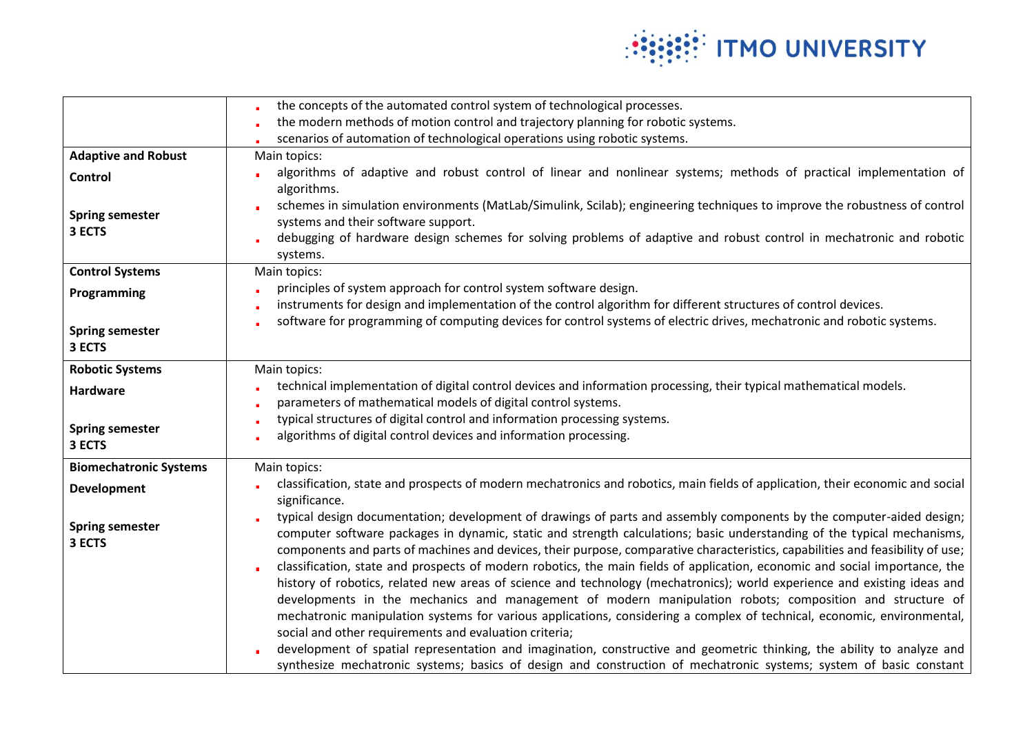

|                                  | the concepts of the automated control system of technological processes.                                                                                                                                                                                                                                                                                                                                                                                                                                                                                                                                                                                                                                                                                                                                                                                                                                                                                                                                                                                                |
|----------------------------------|-------------------------------------------------------------------------------------------------------------------------------------------------------------------------------------------------------------------------------------------------------------------------------------------------------------------------------------------------------------------------------------------------------------------------------------------------------------------------------------------------------------------------------------------------------------------------------------------------------------------------------------------------------------------------------------------------------------------------------------------------------------------------------------------------------------------------------------------------------------------------------------------------------------------------------------------------------------------------------------------------------------------------------------------------------------------------|
|                                  | the modern methods of motion control and trajectory planning for robotic systems.                                                                                                                                                                                                                                                                                                                                                                                                                                                                                                                                                                                                                                                                                                                                                                                                                                                                                                                                                                                       |
|                                  | scenarios of automation of technological operations using robotic systems.                                                                                                                                                                                                                                                                                                                                                                                                                                                                                                                                                                                                                                                                                                                                                                                                                                                                                                                                                                                              |
| <b>Adaptive and Robust</b>       | Main topics:                                                                                                                                                                                                                                                                                                                                                                                                                                                                                                                                                                                                                                                                                                                                                                                                                                                                                                                                                                                                                                                            |
| <b>Control</b>                   | algorithms of adaptive and robust control of linear and nonlinear systems; methods of practical implementation of<br>algorithms.                                                                                                                                                                                                                                                                                                                                                                                                                                                                                                                                                                                                                                                                                                                                                                                                                                                                                                                                        |
| <b>Spring semester</b><br>3 ECTS | schemes in simulation environments (MatLab/Simulink, Scilab); engineering techniques to improve the robustness of control<br>systems and their software support.<br>debugging of hardware design schemes for solving problems of adaptive and robust control in mechatronic and robotic<br>systems.                                                                                                                                                                                                                                                                                                                                                                                                                                                                                                                                                                                                                                                                                                                                                                     |
| <b>Control Systems</b>           | Main topics:                                                                                                                                                                                                                                                                                                                                                                                                                                                                                                                                                                                                                                                                                                                                                                                                                                                                                                                                                                                                                                                            |
| Programming                      | principles of system approach for control system software design.                                                                                                                                                                                                                                                                                                                                                                                                                                                                                                                                                                                                                                                                                                                                                                                                                                                                                                                                                                                                       |
|                                  | instruments for design and implementation of the control algorithm for different structures of control devices.                                                                                                                                                                                                                                                                                                                                                                                                                                                                                                                                                                                                                                                                                                                                                                                                                                                                                                                                                         |
| <b>Spring semester</b><br>3 ECTS | software for programming of computing devices for control systems of electric drives, mechatronic and robotic systems.                                                                                                                                                                                                                                                                                                                                                                                                                                                                                                                                                                                                                                                                                                                                                                                                                                                                                                                                                  |
| <b>Robotic Systems</b>           | Main topics:                                                                                                                                                                                                                                                                                                                                                                                                                                                                                                                                                                                                                                                                                                                                                                                                                                                                                                                                                                                                                                                            |
| <b>Hardware</b>                  | technical implementation of digital control devices and information processing, their typical mathematical models.<br>parameters of mathematical models of digital control systems.                                                                                                                                                                                                                                                                                                                                                                                                                                                                                                                                                                                                                                                                                                                                                                                                                                                                                     |
|                                  | typical structures of digital control and information processing systems.                                                                                                                                                                                                                                                                                                                                                                                                                                                                                                                                                                                                                                                                                                                                                                                                                                                                                                                                                                                               |
| <b>Spring semester</b><br>3 ECTS | algorithms of digital control devices and information processing.                                                                                                                                                                                                                                                                                                                                                                                                                                                                                                                                                                                                                                                                                                                                                                                                                                                                                                                                                                                                       |
| <b>Biomechatronic Systems</b>    | Main topics:                                                                                                                                                                                                                                                                                                                                                                                                                                                                                                                                                                                                                                                                                                                                                                                                                                                                                                                                                                                                                                                            |
| <b>Development</b>               | classification, state and prospects of modern mechatronics and robotics, main fields of application, their economic and social<br>significance.                                                                                                                                                                                                                                                                                                                                                                                                                                                                                                                                                                                                                                                                                                                                                                                                                                                                                                                         |
| <b>Spring semester</b><br>3 ECTS | typical design documentation; development of drawings of parts and assembly components by the computer-aided design;<br>computer software packages in dynamic, static and strength calculations; basic understanding of the typical mechanisms,<br>components and parts of machines and devices, their purpose, comparative characteristics, capabilities and feasibility of use;<br>classification, state and prospects of modern robotics, the main fields of application, economic and social importance, the<br>history of robotics, related new areas of science and technology (mechatronics); world experience and existing ideas and<br>developments in the mechanics and management of modern manipulation robots; composition and structure of<br>mechatronic manipulation systems for various applications, considering a complex of technical, economic, environmental,<br>social and other requirements and evaluation criteria;<br>development of spatial representation and imagination, constructive and geometric thinking, the ability to analyze and |
|                                  | synthesize mechatronic systems; basics of design and construction of mechatronic systems; system of basic constant                                                                                                                                                                                                                                                                                                                                                                                                                                                                                                                                                                                                                                                                                                                                                                                                                                                                                                                                                      |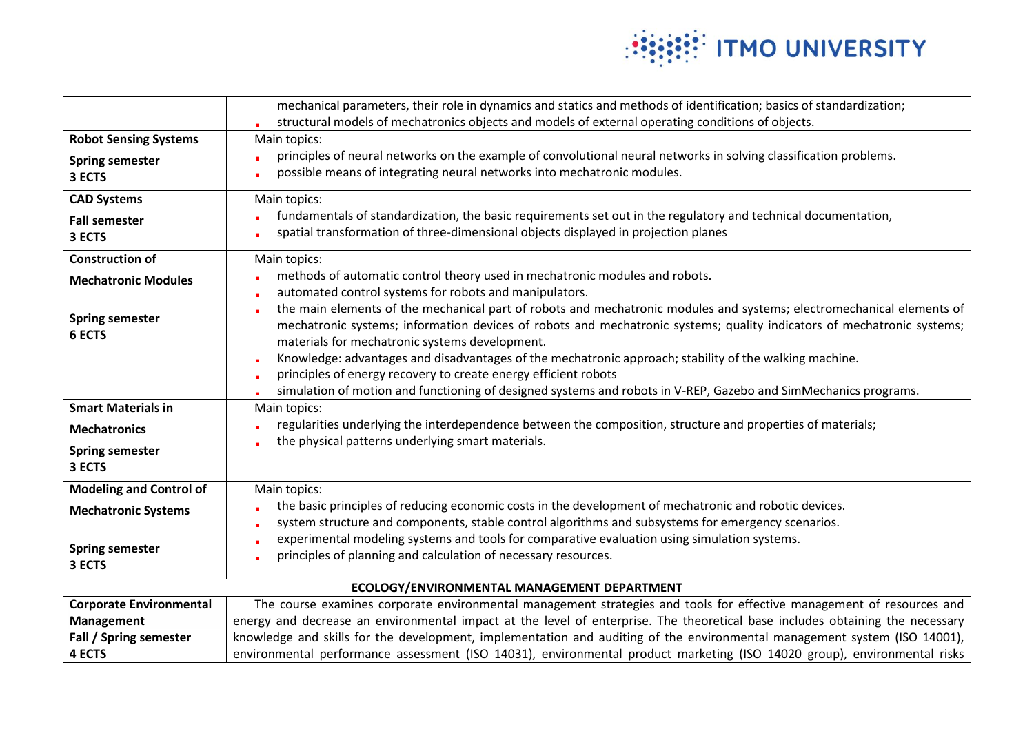

|                                             | mechanical parameters, their role in dynamics and statics and methods of identification; basics of standardization;                                                                                                                                                                               |  |
|---------------------------------------------|---------------------------------------------------------------------------------------------------------------------------------------------------------------------------------------------------------------------------------------------------------------------------------------------------|--|
|                                             | structural models of mechatronics objects and models of external operating conditions of objects.                                                                                                                                                                                                 |  |
| <b>Robot Sensing Systems</b>                | Main topics:                                                                                                                                                                                                                                                                                      |  |
| <b>Spring semester</b><br>3 ECTS            | principles of neural networks on the example of convolutional neural networks in solving classification problems.<br>possible means of integrating neural networks into mechatronic modules.                                                                                                      |  |
| <b>CAD Systems</b>                          | Main topics:                                                                                                                                                                                                                                                                                      |  |
| <b>Fall semester</b><br>3 ECTS              | fundamentals of standardization, the basic requirements set out in the regulatory and technical documentation,<br>spatial transformation of three-dimensional objects displayed in projection planes                                                                                              |  |
| <b>Construction of</b>                      | Main topics:                                                                                                                                                                                                                                                                                      |  |
| <b>Mechatronic Modules</b>                  | methods of automatic control theory used in mechatronic modules and robots.                                                                                                                                                                                                                       |  |
|                                             | automated control systems for robots and manipulators.                                                                                                                                                                                                                                            |  |
| <b>Spring semester</b><br><b>6 ECTS</b>     | the main elements of the mechanical part of robots and mechatronic modules and systems; electromechanical elements of<br>mechatronic systems; information devices of robots and mechatronic systems; quality indicators of mechatronic systems;<br>materials for mechatronic systems development. |  |
|                                             | Knowledge: advantages and disadvantages of the mechatronic approach; stability of the walking machine.                                                                                                                                                                                            |  |
|                                             | principles of energy recovery to create energy efficient robots                                                                                                                                                                                                                                   |  |
|                                             | simulation of motion and functioning of designed systems and robots in V-REP, Gazebo and SimMechanics programs.                                                                                                                                                                                   |  |
| <b>Smart Materials in</b>                   | Main topics:                                                                                                                                                                                                                                                                                      |  |
| <b>Mechatronics</b>                         | regularities underlying the interdependence between the composition, structure and properties of materials;                                                                                                                                                                                       |  |
| <b>Spring semester</b><br>3 ECTS            | the physical patterns underlying smart materials.                                                                                                                                                                                                                                                 |  |
| <b>Modeling and Control of</b>              | Main topics:                                                                                                                                                                                                                                                                                      |  |
| <b>Mechatronic Systems</b>                  | the basic principles of reducing economic costs in the development of mechatronic and robotic devices.<br>system structure and components, stable control algorithms and subsystems for emergency scenarios.                                                                                      |  |
| <b>Spring semester</b><br>3 ECTS            | experimental modeling systems and tools for comparative evaluation using simulation systems.<br>principles of planning and calculation of necessary resources.                                                                                                                                    |  |
| ECOLOGY/ENVIRONMENTAL MANAGEMENT DEPARTMENT |                                                                                                                                                                                                                                                                                                   |  |
| <b>Corporate Environmental</b>              | The course examines corporate environmental management strategies and tools for effective management of resources and                                                                                                                                                                             |  |
| <b>Management</b>                           | energy and decrease an environmental impact at the level of enterprise. The theoretical base includes obtaining the necessary                                                                                                                                                                     |  |
| Fall / Spring semester                      | knowledge and skills for the development, implementation and auditing of the environmental management system (ISO 14001),                                                                                                                                                                         |  |
| <b>4 ECTS</b>                               | environmental performance assessment (ISO 14031), environmental product marketing (ISO 14020 group), environmental risks                                                                                                                                                                          |  |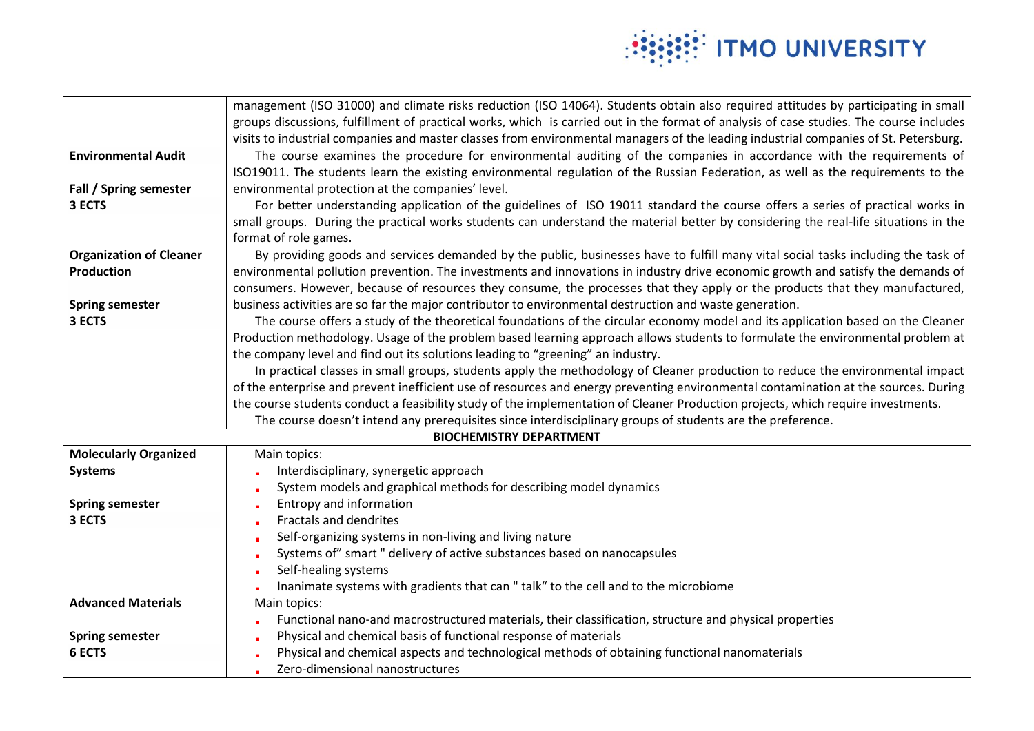

|                                | management (ISO 31000) and climate risks reduction (ISO 14064). Students obtain also required attitudes by participating in small       |
|--------------------------------|-----------------------------------------------------------------------------------------------------------------------------------------|
|                                | groups discussions, fulfillment of practical works, which is carried out in the format of analysis of case studies. The course includes |
|                                | visits to industrial companies and master classes from environmental managers of the leading industrial companies of St. Petersburg.    |
| <b>Environmental Audit</b>     | The course examines the procedure for environmental auditing of the companies in accordance with the requirements of                    |
|                                | ISO19011. The students learn the existing environmental regulation of the Russian Federation, as well as the requirements to the        |
| Fall / Spring semester         | environmental protection at the companies' level.                                                                                       |
| 3 ECTS                         | For better understanding application of the guidelines of ISO 19011 standard the course offers a series of practical works in           |
|                                | small groups. During the practical works students can understand the material better by considering the real-life situations in the     |
|                                | format of role games.                                                                                                                   |
| <b>Organization of Cleaner</b> | By providing goods and services demanded by the public, businesses have to fulfill many vital social tasks including the task of        |
| Production                     | environmental pollution prevention. The investments and innovations in industry drive economic growth and satisfy the demands of        |
|                                | consumers. However, because of resources they consume, the processes that they apply or the products that they manufactured,            |
| <b>Spring semester</b>         | business activities are so far the major contributor to environmental destruction and waste generation.                                 |
| 3 ECTS                         | The course offers a study of the theoretical foundations of the circular economy model and its application based on the Cleaner         |
|                                | Production methodology. Usage of the problem based learning approach allows students to formulate the environmental problem at          |
|                                | the company level and find out its solutions leading to "greening" an industry.                                                         |
|                                | In practical classes in small groups, students apply the methodology of Cleaner production to reduce the environmental impact           |
|                                | of the enterprise and prevent inefficient use of resources and energy preventing environmental contamination at the sources. During     |
|                                | the course students conduct a feasibility study of the implementation of Cleaner Production projects, which require investments.        |
|                                | The course doesn't intend any prerequisites since interdisciplinary groups of students are the preference.                              |
|                                | <b>BIOCHEMISTRY DEPARTMENT</b>                                                                                                          |
| <b>Molecularly Organized</b>   | Main topics:                                                                                                                            |
| <b>Systems</b>                 | Interdisciplinary, synergetic approach                                                                                                  |
|                                | System models and graphical methods for describing model dynamics                                                                       |
| <b>Spring semester</b>         | Entropy and information                                                                                                                 |
| 3 ECTS                         | Fractals and dendrites                                                                                                                  |
|                                | Self-organizing systems in non-living and living nature                                                                                 |
|                                | Systems of" smart " delivery of active substances based on nanocapsules                                                                 |
|                                | Self-healing systems                                                                                                                    |
|                                | Inanimate systems with gradients that can " talk" to the cell and to the microbiome                                                     |
| <b>Advanced Materials</b>      | Main topics:                                                                                                                            |
|                                | Functional nano-and macrostructured materials, their classification, structure and physical properties                                  |
| <b>Spring semester</b>         | Physical and chemical basis of functional response of materials                                                                         |
| <b>6 ECTS</b>                  | Physical and chemical aspects and technological methods of obtaining functional nanomaterials                                           |
|                                | Zero-dimensional nanostructures                                                                                                         |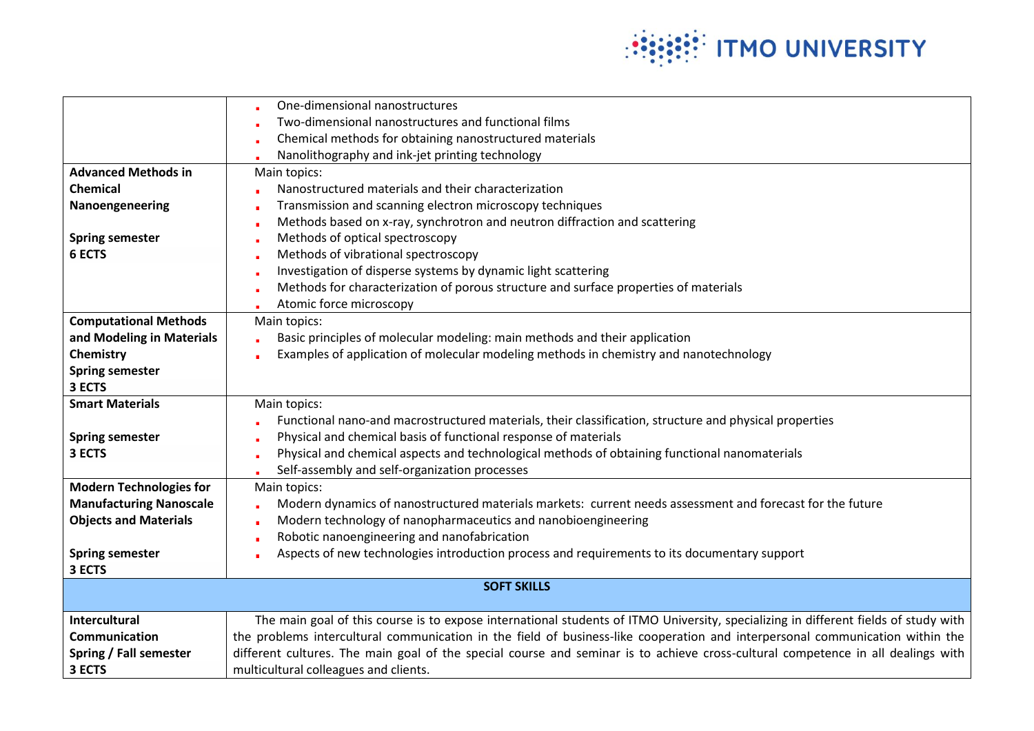

|                                | One-dimensional nanostructures                                                                                                      |
|--------------------------------|-------------------------------------------------------------------------------------------------------------------------------------|
|                                | Two-dimensional nanostructures and functional films                                                                                 |
|                                | Chemical methods for obtaining nanostructured materials                                                                             |
|                                | Nanolithography and ink-jet printing technology                                                                                     |
| <b>Advanced Methods in</b>     | Main topics:                                                                                                                        |
| <b>Chemical</b>                | Nanostructured materials and their characterization                                                                                 |
| Nanoengeneering                | Transmission and scanning electron microscopy techniques                                                                            |
|                                | Methods based on x-ray, synchrotron and neutron diffraction and scattering                                                          |
| <b>Spring semester</b>         | Methods of optical spectroscopy                                                                                                     |
| <b>6 ECTS</b>                  | Methods of vibrational spectroscopy                                                                                                 |
|                                | Investigation of disperse systems by dynamic light scattering                                                                       |
|                                | Methods for characterization of porous structure and surface properties of materials                                                |
|                                | Atomic force microscopy                                                                                                             |
| <b>Computational Methods</b>   | Main topics:                                                                                                                        |
| and Modeling in Materials      | Basic principles of molecular modeling: main methods and their application                                                          |
| Chemistry                      | Examples of application of molecular modeling methods in chemistry and nanotechnology                                               |
| <b>Spring semester</b>         |                                                                                                                                     |
| 3 ECTS                         |                                                                                                                                     |
| <b>Smart Materials</b>         | Main topics:                                                                                                                        |
|                                | Functional nano-and macrostructured materials, their classification, structure and physical properties                              |
| <b>Spring semester</b>         | Physical and chemical basis of functional response of materials                                                                     |
| 3 ECTS                         | Physical and chemical aspects and technological methods of obtaining functional nanomaterials                                       |
|                                | Self-assembly and self-organization processes                                                                                       |
| <b>Modern Technologies for</b> | Main topics:                                                                                                                        |
| <b>Manufacturing Nanoscale</b> | Modern dynamics of nanostructured materials markets: current needs assessment and forecast for the future                           |
| <b>Objects and Materials</b>   | Modern technology of nanopharmaceutics and nanobioengineering                                                                       |
|                                | Robotic nanoengineering and nanofabrication                                                                                         |
| <b>Spring semester</b>         | Aspects of new technologies introduction process and requirements to its documentary support                                        |
| 3 ECTS                         |                                                                                                                                     |
|                                | <b>SOFT SKILLS</b>                                                                                                                  |
|                                |                                                                                                                                     |
| <b>Intercultural</b>           | The main goal of this course is to expose international students of ITMO University, specializing in different fields of study with |
| Communication                  | the problems intercultural communication in the field of business-like cooperation and interpersonal communication within the       |
| Spring / Fall semester         | different cultures. The main goal of the special course and seminar is to achieve cross-cultural competence in all dealings with    |
| 3 ECTS                         | multicultural colleagues and clients.                                                                                               |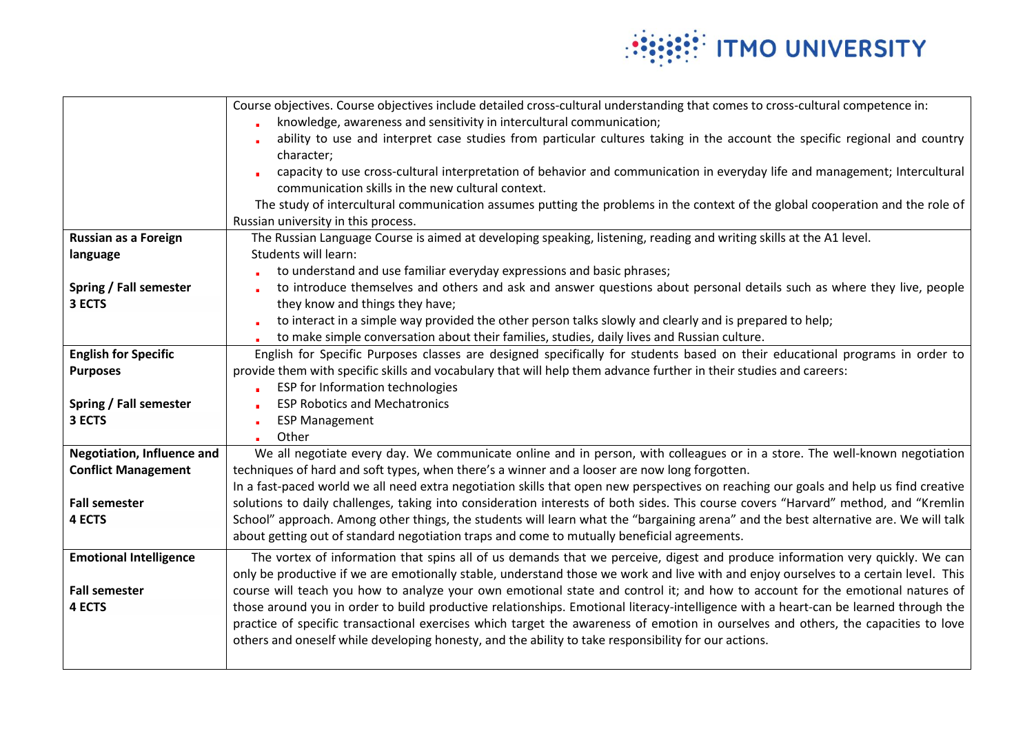

|                                   | Course objectives. Course objectives include detailed cross-cultural understanding that comes to cross-cultural competence in:        |
|-----------------------------------|---------------------------------------------------------------------------------------------------------------------------------------|
|                                   | knowledge, awareness and sensitivity in intercultural communication;                                                                  |
|                                   | ability to use and interpret case studies from particular cultures taking in the account the specific regional and country            |
|                                   | character;                                                                                                                            |
|                                   | capacity to use cross-cultural interpretation of behavior and communication in everyday life and management; Intercultural            |
|                                   | communication skills in the new cultural context.                                                                                     |
|                                   | The study of intercultural communication assumes putting the problems in the context of the global cooperation and the role of        |
|                                   | Russian university in this process.                                                                                                   |
| Russian as a Foreign              | The Russian Language Course is aimed at developing speaking, listening, reading and writing skills at the A1 level.                   |
| language                          | <b>Students will learn:</b>                                                                                                           |
|                                   | to understand and use familiar everyday expressions and basic phrases;                                                                |
| Spring / Fall semester            | to introduce themselves and others and ask and answer questions about personal details such as where they live, people                |
| 3 ECTS                            | they know and things they have;                                                                                                       |
|                                   | to interact in a simple way provided the other person talks slowly and clearly and is prepared to help;                               |
|                                   | to make simple conversation about their families, studies, daily lives and Russian culture.                                           |
| <b>English for Specific</b>       | English for Specific Purposes classes are designed specifically for students based on their educational programs in order to          |
| <b>Purposes</b>                   | provide them with specific skills and vocabulary that will help them advance further in their studies and careers:                    |
|                                   | ESP for Information technologies                                                                                                      |
| Spring / Fall semester            | <b>ESP Robotics and Mechatronics</b>                                                                                                  |
| 3 ECTS                            | <b>ESP Management</b>                                                                                                                 |
|                                   | Other                                                                                                                                 |
| <b>Negotiation, Influence and</b> | We all negotiate every day. We communicate online and in person, with colleagues or in a store. The well-known negotiation            |
| <b>Conflict Management</b>        | techniques of hard and soft types, when there's a winner and a looser are now long forgotten.                                         |
|                                   | In a fast-paced world we all need extra negotiation skills that open new perspectives on reaching our goals and help us find creative |
| <b>Fall semester</b>              | solutions to daily challenges, taking into consideration interests of both sides. This course covers "Harvard" method, and "Kremlin   |
| 4 ECTS                            | School" approach. Among other things, the students will learn what the "bargaining arena" and the best alternative are. We will talk  |
|                                   | about getting out of standard negotiation traps and come to mutually beneficial agreements.                                           |
| <b>Emotional Intelligence</b>     | The vortex of information that spins all of us demands that we perceive, digest and produce information very quickly. We can          |
|                                   | only be productive if we are emotionally stable, understand those we work and live with and enjoy ourselves to a certain level. This  |
| <b>Fall semester</b>              | course will teach you how to analyze your own emotional state and control it; and how to account for the emotional natures of         |
| 4 ECTS                            | those around you in order to build productive relationships. Emotional literacy-intelligence with a heart-can be learned through the  |
|                                   | practice of specific transactional exercises which target the awareness of emotion in ourselves and others, the capacities to love    |
|                                   | others and oneself while developing honesty, and the ability to take responsibility for our actions.                                  |
|                                   |                                                                                                                                       |
|                                   |                                                                                                                                       |